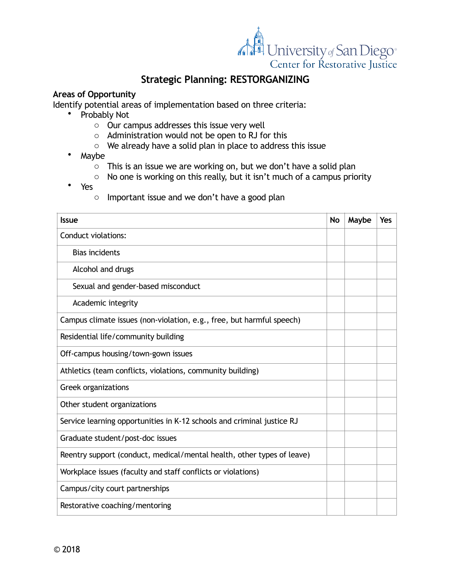

# **Strategic Planning: RESTORGANIZING**

#### **Areas of Opportunity**

Identify potential areas of implementation based on three criteria:

- Probably Not
	- o Our campus addresses this issue very well
	- o Administration would not be open to RJ for this
	- $\circ$  We already have a solid plan in place to address this issue
- Maybe
	- $\circ$  This is an issue we are working on, but we don't have a solid plan
	- o No one is working on this really, but it isn't much of a campus priority
- Yes
	- o Important issue and we don't have a good plan

| <b>Issue</b>                                                           | <b>No</b> | Maybe | Yes |
|------------------------------------------------------------------------|-----------|-------|-----|
| <b>Conduct violations:</b>                                             |           |       |     |
| <b>Bias incidents</b>                                                  |           |       |     |
| Alcohol and drugs                                                      |           |       |     |
| Sexual and gender-based misconduct                                     |           |       |     |
| Academic integrity                                                     |           |       |     |
| Campus climate issues (non-violation, e.g., free, but harmful speech)  |           |       |     |
| Residential life/community building                                    |           |       |     |
| Off-campus housing/town-gown issues                                    |           |       |     |
| Athletics (team conflicts, violations, community building)             |           |       |     |
| Greek organizations                                                    |           |       |     |
| Other student organizations                                            |           |       |     |
| Service learning opportunities in K-12 schools and criminal justice RJ |           |       |     |
| Graduate student/post-doc issues                                       |           |       |     |
| Reentry support (conduct, medical/mental health, other types of leave) |           |       |     |
| Workplace issues (faculty and staff conflicts or violations)           |           |       |     |
| Campus/city court partnerships                                         |           |       |     |
| Restorative coaching/mentoring                                         |           |       |     |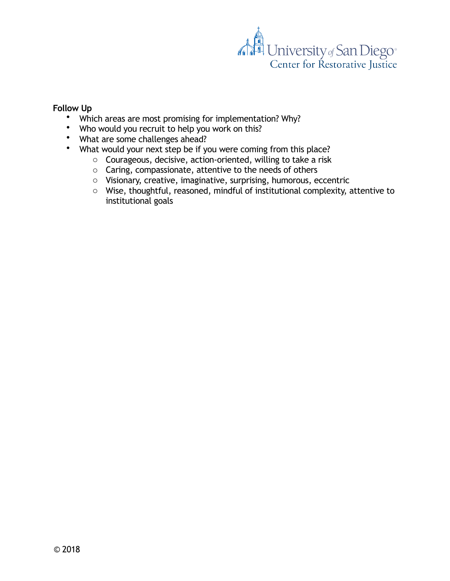

#### **Follow Up**

- Which areas are most promising for implementation? Why?
- Who would you recruit to help you work on this?
- What are some challenges ahead?
- What would your next step be if you were coming from this place?
	- o Courageous, decisive, action-oriented, willing to take a risk
	- o Caring, compassionate, attentive to the needs of others
	- o Visionary, creative, imaginative, surprising, humorous, eccentric
	- o Wise, thoughtful, reasoned, mindful of institutional complexity, attentive to institutional goals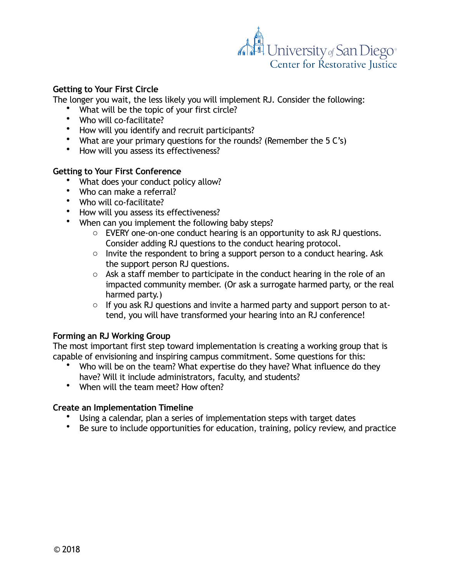

# **Getting to Your First Circle**

The longer you wait, the less likely you will implement RJ. Consider the following:

- What will be the topic of your first circle?
- Who will co-facilitate?
- How will you identify and recruit participants?
- What are your primary questions for the rounds? (Remember the 5 C's)
- How will you assess its effectiveness?

## **Getting to Your First Conference**

- What does your conduct policy allow?
- Who can make a referral?
- Who will co-facilitate?
- How will you assess its effectiveness?
- When can you implement the following baby steps?
	- o EVERY one-on-one conduct hearing is an opportunity to ask RJ questions. Consider adding RJ questions to the conduct hearing protocol.
	- o Invite the respondent to bring a support person to a conduct hearing. Ask the support person RJ questions.
	- o Ask a staff member to participate in the conduct hearing in the role of an impacted community member. (Or ask a surrogate harmed party, or the real harmed party.)
	- o If you ask RJ questions and invite a harmed party and support person to attend, you will have transformed your hearing into an RJ conference!

# **Forming an RJ Working Group**

The most important first step toward implementation is creating a working group that is capable of envisioning and inspiring campus commitment. Some questions for this:

- Who will be on the team? What expertise do they have? What influence do they have? Will it include administrators, faculty, and students?
- When will the team meet? How often?

#### **Create an Implementation Timeline**

- Using a calendar, plan a series of implementation steps with target dates
- Be sure to include opportunities for education, training, policy review, and practice